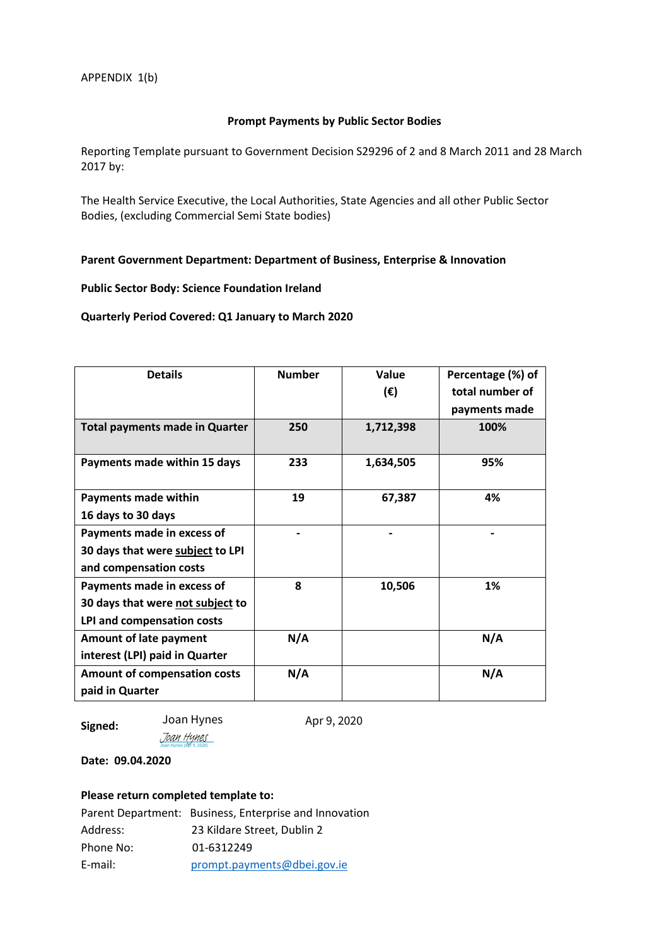## **Prompt Payments by Public Sector Bodies**

Reporting Template pursuant to Government Decision S29296 of 2 and 8 March 2011 and 28 March 2017 by:

The Health Service Executive, the Local Authorities, State Agencies and all other Public Sector Bodies, (excluding Commercial Semi State bodies)

# **Parent Government Department: Department of Business, Enterprise & Innovation**

# **Public Sector Body: Science Foundation Ireland**

#### **Quarterly Period Covered: Q1 January to March 2020**

| <b>Details</b>                        | <b>Number</b> | Value        | Percentage (%) of |
|---------------------------------------|---------------|--------------|-------------------|
|                                       |               | $(\epsilon)$ | total number of   |
|                                       |               |              | payments made     |
| <b>Total payments made in Quarter</b> | 250           | 1,712,398    | 100%              |
| Payments made within 15 days          | 233           | 1,634,505    | 95%               |
| Payments made within                  | 19            | 67,387       | 4%                |
| 16 days to 30 days                    |               |              |                   |
| Payments made in excess of            |               |              |                   |
| 30 days that were subject to LPI      |               |              |                   |
| and compensation costs                |               |              |                   |
| Payments made in excess of            | 8             | 10,506       | 1%                |
| 30 days that were not subject to      |               |              |                   |
| LPI and compensation costs            |               |              |                   |
| <b>Amount of late payment</b>         | N/A           |              | N/A               |
| interest (LPI) paid in Quarter        |               |              |                   |
| <b>Amount of compensation costs</b>   | N/A           |              | N/A               |
| paid in Quarter                       |               |              |                   |

**Signed:** 

[Joan Hynes](https://eu1.documents.adobe.com/verifier?tx=CBJCHBCAABAA-wsyupIR1mXzIoX_13pOpIxS_GOFOKBq)

Joan Hynes (Apr 9, 2020)

Joan Hynes Apr 9, 2020

**Date: 09.04.2020**

# **Please return completed template to:**

|           | Parent Department: Business, Enterprise and Innovation |
|-----------|--------------------------------------------------------|
| Address:  | 23 Kildare Street, Dublin 2                            |
| Phone No: | 01-6312249                                             |
| E-mail:   | prompt.payments@dbei.gov.ie                            |